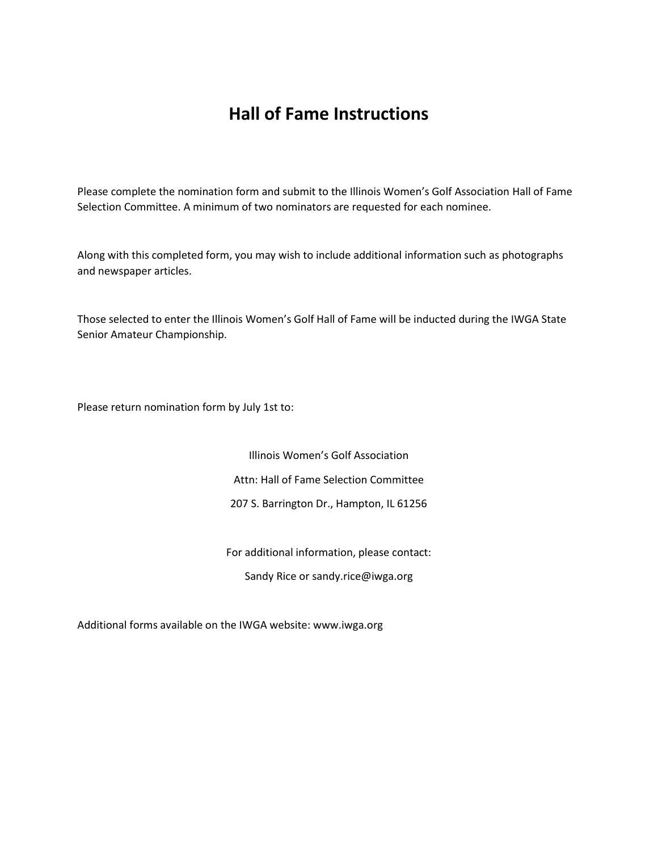## **Hall of Fame Instructions**

Please complete the nomination form and submit to the Illinois Women's Golf Association Hall of Fame Selection Committee. A minimum of two nominators are requested for each nominee.

Along with this completed form, you may wish to include additional information such as photographs and newspaper articles.

Those selected to enter the Illinois Women's Golf Hall of Fame will be inducted during the IWGA State Senior Amateur Championship.

Please return nomination form by July 1st to:

Illinois Women's Golf Association Attn: Hall of Fame Selection Committee 207 S. Barrington Dr., Hampton, IL 61256

For additional information, please contact: Sandy Rice or sandy.rice@iwga.org

Additional forms available on the IWGA website: www.iwga.org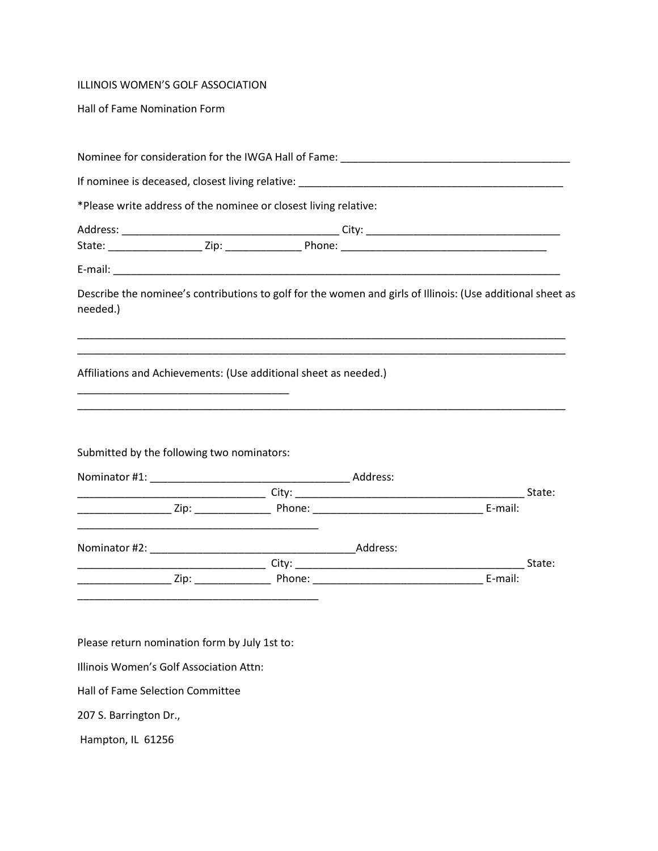## ILLINOIS WOMEN'S GOLF ASSOCIATION

Hall of Fame Nomination Form

|                                                 | *Please write address of the nominee or closest living relative:                                           |         |
|-------------------------------------------------|------------------------------------------------------------------------------------------------------------|---------|
|                                                 |                                                                                                            |         |
|                                                 |                                                                                                            |         |
|                                                 |                                                                                                            |         |
| needed.)                                        | Describe the nominee's contributions to golf for the women and girls of Illinois: (Use additional sheet as |         |
|                                                 |                                                                                                            |         |
|                                                 | Affiliations and Achievements: (Use additional sheet as needed.)                                           |         |
|                                                 |                                                                                                            |         |
| Submitted by the following two nominators:      |                                                                                                            |         |
|                                                 |                                                                                                            | E-mail: |
| <u> 1989 - Johann John Stone, mars et al. (</u> | Nominator #2: Address:                                                                                     |         |
|                                                 |                                                                                                            |         |

Please return nomination form by July 1st to:

Illinois Women's Golf Association Attn:

Hall of Fame Selection Committee

207 S. Barrington Dr.,

Hampton, IL 61256